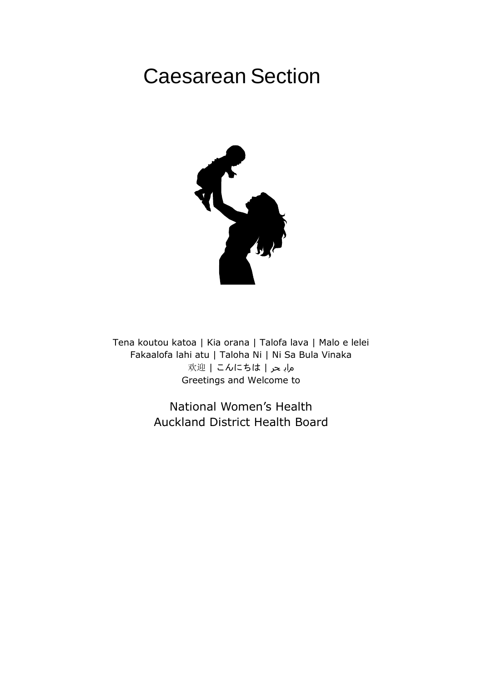# Caesarean Section



Tena koutou katoa | Kia orana | Talofa lava | Malo e lelei Fakaalofa lahi atu | Taloha Ni | Ni Sa Bula Vinaka ماب حر | こんにちは | 欢迎 Greetings and Welcome to

> National Women's Health Auckland District Health Board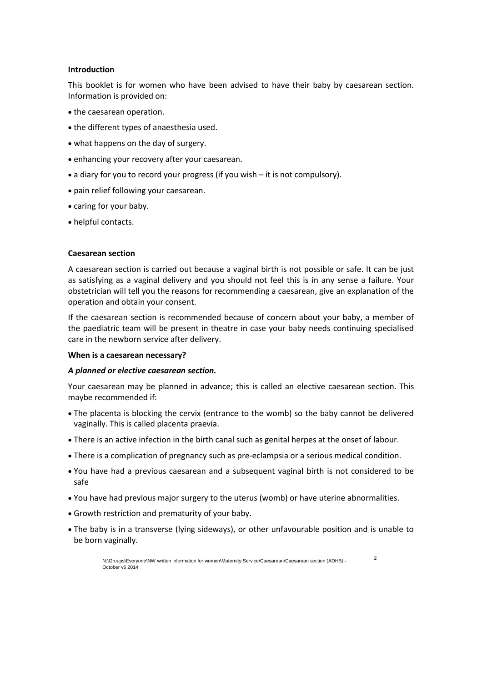#### **Introduction**

This booklet is for women who have been advised to have their baby by caesarean section. Information is provided on:

- the caesarean operation.
- the different types of anaesthesia used.
- what happens on the day of surgery.
- enhancing your recovery after your caesarean.
- a diary for you to record your progress (if you wish it is not compulsory).
- pain relief following your caesarean.
- caring for your baby.
- helpful contacts.

#### **Caesarean section**

A caesarean section is carried out because a vaginal birth is not possible or safe. It can be just as satisfying as a vaginal delivery and you should not feel this is in any sense a failure. Your obstetrician will tell you the reasons for recommending a caesarean, give an explanation of the operation and obtain your consent.

If the caesarean section is recommended because of concern about your baby, a member of the paediatric team will be present in theatre in case your baby needs continuing specialised care in the newborn service after delivery.

#### **When is a caesarean necessary?**

#### *A planned or elective caesarean section.*

Your caesarean may be planned in advance; this is called an elective caesarean section. This maybe recommended if:

- The placenta is blocking the cervix (entrance to the womb) so the baby cannot be delivered vaginally. This is called placenta praevia.
- There is an active infection in the birth canal such as genital herpes at the onset of labour.
- There is a complication of pregnancy such as pre-eclampsia or a serious medical condition.
- You have had a previous caesarean and a subsequent vaginal birth is not considered to be safe
- You have had previous major surgery to the uterus (womb) or have uterine abnormalities.
- Growth restriction and prematurity of your baby.
- The baby is in a transverse (lying sideways), or other unfavourable position and is unable to be born vaginally.

2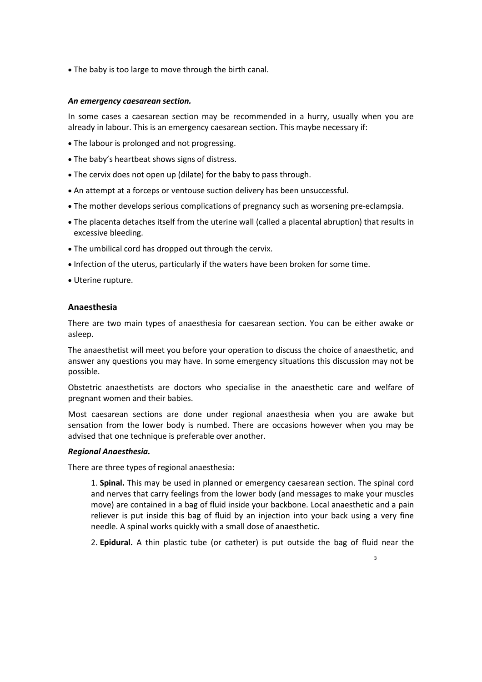The baby is too large to move through the birth canal.

#### *An emergency caesarean section.*

In some cases a caesarean section may be recommended in a hurry, usually when you are already in labour. This is an emergency caesarean section. This maybe necessary if:

- The labour is prolonged and not progressing.
- The baby's heartbeat shows signs of distress.
- The cervix does not open up (dilate) for the baby to pass through.
- An attempt at a forceps or ventouse suction delivery has been unsuccessful.
- The mother develops serious complications of pregnancy such as worsening pre-eclampsia.
- The placenta detaches itself from the uterine wall (called a placental abruption) that results in excessive bleeding.
- The umbilical cord has dropped out through the cervix.
- Infection of the uterus, particularly if the waters have been broken for some time.
- Uterine rupture.

#### **Anaesthesia**

There are two main types of anaesthesia for caesarean section. You can be either awake or asleep.

The anaesthetist will meet you before your operation to discuss the choice of anaesthetic, and answer any questions you may have. In some emergency situations this discussion may not be possible.

Obstetric anaesthetists are doctors who specialise in the anaesthetic care and welfare of pregnant women and their babies.

Most caesarean sections are done under regional anaesthesia when you are awake but sensation from the lower body is numbed. There are occasions however when you may be advised that one technique is preferable over another.

#### *Regional Anaesthesia.*

There are three types of regional anaesthesia:

1. **Spinal.** This may be used in planned or emergency caesarean section. The spinal cord and nerves that carry feelings from the lower body (and messages to make your muscles move) are contained in a bag of fluid inside your backbone. Local anaesthetic and a pain reliever is put inside this bag of fluid by an injection into your back using a very fine needle. A spinal works quickly with a small dose of anaesthetic.

2. **Epidural.** A thin plastic tube (or catheter) is put outside the bag of fluid near the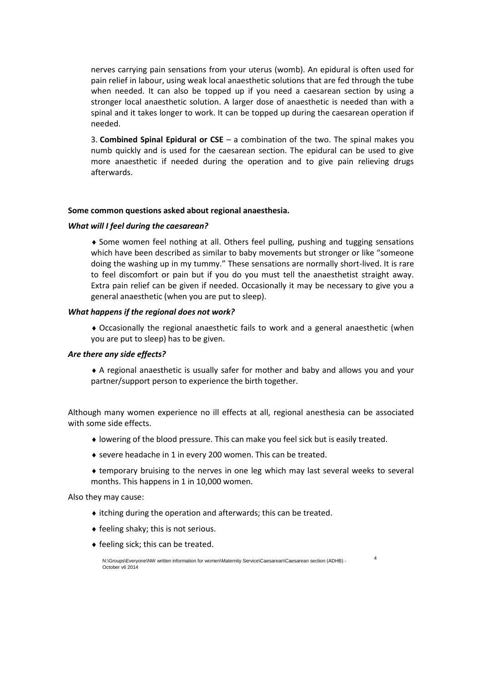nerves carrying pain sensations from your uterus (womb). An epidural is often used for pain relief in labour, using weak local anaesthetic solutions that are fed through the tube when needed. It can also be topped up if you need a caesarean section by using a stronger local anaesthetic solution. A larger dose of anaesthetic is needed than with a spinal and it takes longer to work. It can be topped up during the caesarean operation if needed.

3. **Combined Spinal Epidural or CSE** – a combination of the two. The spinal makes you numb quickly and is used for the caesarean section. The epidural can be used to give more anaesthetic if needed during the operation and to give pain relieving drugs afterwards.

#### **Some common questions asked about regional anaesthesia.**

#### *What will I feel during the caesarean?*

 Some women feel nothing at all. Others feel pulling, pushing and tugging sensations which have been described as similar to baby movements but stronger or like "someone doing the washing up in my tummy." These sensations are normally short-lived. It is rare to feel discomfort or pain but if you do you must tell the anaesthetist straight away. Extra pain relief can be given if needed. Occasionally it may be necessary to give you a general anaesthetic (when you are put to sleep).

#### *What happens if the regional does not work?*

 Occasionally the regional anaesthetic fails to work and a general anaesthetic (when you are put to sleep) has to be given.

#### *Are there any side effects?*

 A regional anaesthetic is usually safer for mother and baby and allows you and your partner/support person to experience the birth together.

Although many women experience no ill effects at all, regional anesthesia can be associated with some side effects.

- lowering of the blood pressure. This can make you feel sick but is easily treated.
- severe headache in 1 in every 200 women. This can be treated.
- temporary bruising to the nerves in one leg which may last several weeks to several months. This happens in 1 in 10,000 women.

4

Also they may cause:

- itching during the operation and afterwards; this can be treated.
- $\bullet$  feeling shaky; this is not serious.
- $\bullet$  feeling sick; this can be treated.

N:\Groups\Everyone\NW written information for women\Maternity Service\Caesarean\Caesarean section (ADHB) - October v6 2014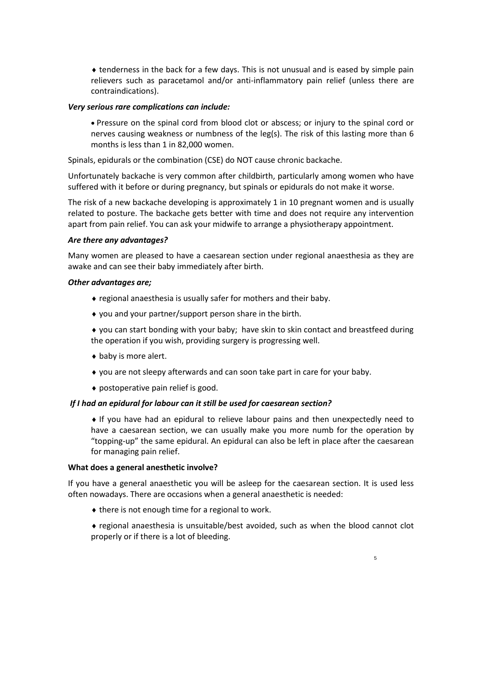tenderness in the back for a few days. This is not unusual and is eased by simple pain relievers such as paracetamol and/or anti-inflammatory pain relief (unless there are contraindications).

#### *Very serious rare complications can include:*

 Pressure on the spinal cord from blood clot or abscess; or injury to the spinal cord or nerves causing weakness or numbness of the leg(s). The risk of this lasting more than 6 months is less than 1 in 82,000 women.

Spinals, epidurals or the combination (CSE) do NOT cause chronic backache.

Unfortunately backache is very common after childbirth, particularly among women who have suffered with it before or during pregnancy, but spinals or epidurals do not make it worse.

The risk of a new backache developing is approximately 1 in 10 pregnant women and is usually related to posture. The backache gets better with time and does not require any intervention apart from pain relief. You can ask your midwife to arrange a physiotherapy appointment.

#### *Are there any advantages?*

Many women are pleased to have a caesarean section under regional anaesthesia as they are awake and can see their baby immediately after birth.

#### *Other advantages are;*

- regional anaesthesia is usually safer for mothers and their baby.
- you and your partner/support person share in the birth.

 you can start bonding with your baby; have skin to skin contact and breastfeed during the operation if you wish, providing surgery is progressing well.

- baby is more alert.
- you are not sleepy afterwards and can soon take part in care for your baby.
- postoperative pain relief is good.

#### *If I had an epidural for labour can it still be used for caesarean section?*

 If you have had an epidural to relieve labour pains and then unexpectedly need to have a caesarean section, we can usually make you more numb for the operation by "topping-up" the same epidural. An epidural can also be left in place after the caesarean for managing pain relief.

#### **What does a general anesthetic involve?**

If you have a general anaesthetic you will be asleep for the caesarean section. It is used less often nowadays. There are occasions when a general anaesthetic is needed:

 $\bullet$  there is not enough time for a regional to work.

 regional anaesthesia is unsuitable/best avoided, such as when the blood cannot clot properly or if there is a lot of bleeding.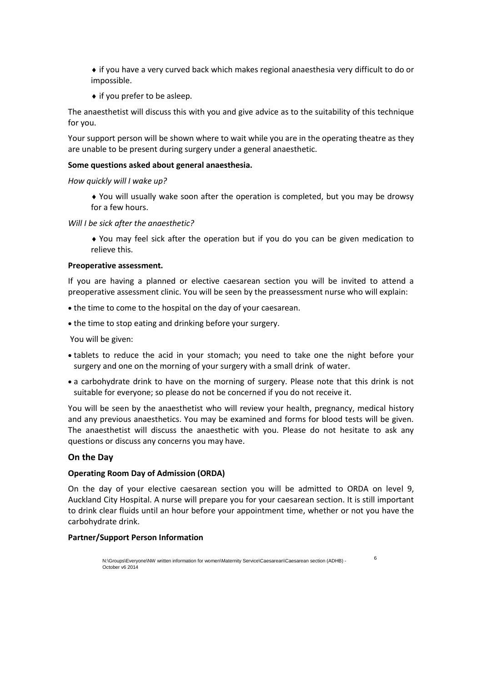if you have a very curved back which makes regional anaesthesia very difficult to do or impossible.

 $\bullet$  if you prefer to be asleep.

The anaesthetist will discuss this with you and give advice as to the suitability of this technique for you.

Your support person will be shown where to wait while you are in the operating theatre as they are unable to be present during surgery under a general anaesthetic.

#### **Some questions asked about general anaesthesia.**

*How quickly will I wake up?*

 You will usually wake soon after the operation is completed, but you may be drowsy for a few hours.

*Will I be sick after the anaesthetic?*

 You may feel sick after the operation but if you do you can be given medication to relieve this.

#### **Preoperative assessment.**

If you are having a planned or elective caesarean section you will be invited to attend a preoperative assessment clinic. You will be seen by the preassessment nurse who will explain:

- the time to come to the hospital on the day of your caesarean.
- the time to stop eating and drinking before your surgery.

You will be given:

- tablets to reduce the acid in your stomach; you need to take one the night before your surgery and one on the morning of your surgery with a small drink of water.
- a carbohydrate drink to have on the morning of surgery. Please note that this drink is not suitable for everyone; so please do not be concerned if you do not receive it.

You will be seen by the anaesthetist who will review your health, pregnancy, medical history and any previous anaesthetics. You may be examined and forms for blood tests will be given. The anaesthetist will discuss the anaesthetic with you. Please do not hesitate to ask any questions or discuss any concerns you may have.

#### **On the Day**

#### **Operating Room Day of Admission (ORDA)**

On the day of your elective caesarean section you will be admitted to ORDA on level 9, Auckland City Hospital. A nurse will prepare you for your caesarean section. It is still important to drink clear fluids until an hour before your appointment time, whether or not you have the carbohydrate drink.

6

#### **Partner/Support Person Information**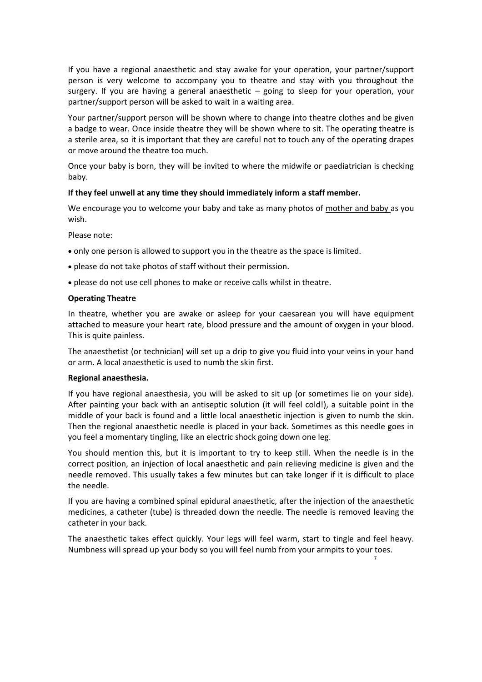If you have a regional anaesthetic and stay awake for your operation, your partner/support person is very welcome to accompany you to theatre and stay with you throughout the surgery. If you are having a general anaesthetic – going to sleep for your operation, your partner/support person will be asked to wait in a waiting area.

Your partner/support person will be shown where to change into theatre clothes and be given a badge to wear. Once inside theatre they will be shown where to sit. The operating theatre is a sterile area, so it is important that they are careful not to touch any of the operating drapes or move around the theatre too much.

Once your baby is born, they will be invited to where the midwife or paediatrician is checking baby.

#### **If they feel unwell at any time they should immediately inform a staff member.**

We encourage you to welcome your baby and take as many photos of mother and baby as you wish.

Please note:

- only one person is allowed to support you in the theatre as the space is limited.
- please do not take photos of staff without their permission.
- please do not use cell phones to make or receive calls whilst in theatre.

#### **Operating Theatre**

In theatre, whether you are awake or asleep for your caesarean you will have equipment attached to measure your heart rate, blood pressure and the amount of oxygen in your blood. This is quite painless.

The anaesthetist (or technician) will set up a drip to give you fluid into your veins in your hand or arm. A local anaesthetic is used to numb the skin first.

#### **Regional anaesthesia.**

If you have regional anaesthesia, you will be asked to sit up (or sometimes lie on your side). After painting your back with an antiseptic solution (it will feel cold!), a suitable point in the middle of your back is found and a little local anaesthetic injection is given to numb the skin. Then the regional anaesthetic needle is placed in your back. Sometimes as this needle goes in you feel a momentary tingling, like an electric shock going down one leg.

You should mention this, but it is important to try to keep still. When the needle is in the correct position, an injection of local anaesthetic and pain relieving medicine is given and the needle removed. This usually takes a few minutes but can take longer if it is difficult to place the needle.

If you are having a combined spinal epidural anaesthetic, after the injection of the anaesthetic medicines, a catheter (tube) is threaded down the needle. The needle is removed leaving the catheter in your back.

The anaesthetic takes effect quickly. Your legs will feel warm, start to tingle and feel heavy. Numbness will spread up your body so you will feel numb from your armpits to your toes.

7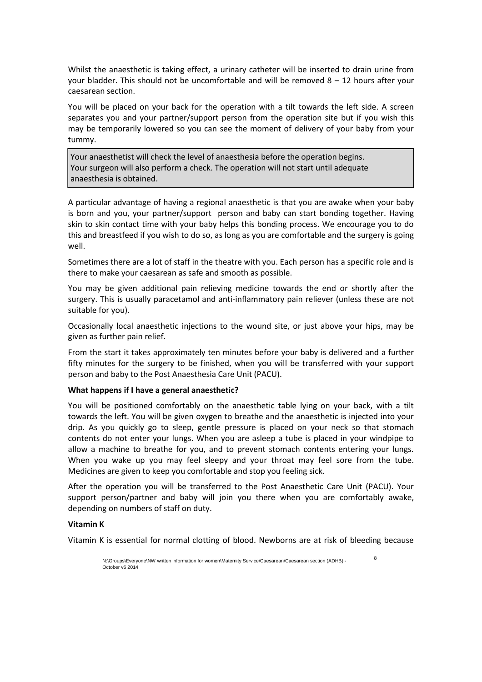Whilst the anaesthetic is taking effect, a urinary catheter will be inserted to drain urine from your bladder. This should not be uncomfortable and will be removed  $8 - 12$  hours after your caesarean section.

You will be placed on your back for the operation with a tilt towards the left side. A screen separates you and your partner/support person from the operation site but if you wish this may be temporarily lowered so you can see the moment of delivery of your baby from your tummy.

Your anaesthetist will check the level of anaesthesia before the operation begins. Your surgeon will also perform a check. The operation will not start until adequate anaesthesia is obtained.

A particular advantage of having a regional anaesthetic is that you are awake when your baby is born and you, your partner/support person and baby can start bonding together. Having skin to skin contact time with your baby helps this bonding process. We encourage you to do this and breastfeed if you wish to do so, as long as you are comfortable and the surgery is going well.

Sometimes there are a lot of staff in the theatre with you. Each person has a specific role and is there to make your caesarean as safe and smooth as possible.

You may be given additional pain relieving medicine towards the end or shortly after the surgery. This is usually paracetamol and anti-inflammatory pain reliever (unless these are not suitable for you).

Occasionally local anaesthetic injections to the wound site, or just above your hips, may be given as further pain relief.

From the start it takes approximately ten minutes before your baby is delivered and a further fifty minutes for the surgery to be finished, when you will be transferred with your support person and baby to the Post Anaesthesia Care Unit (PACU).

#### **What happens if I have a general anaesthetic?**

You will be positioned comfortably on the anaesthetic table lying on your back, with a tilt towards the left. You will be given oxygen to breathe and the anaesthetic is injected into your drip. As you quickly go to sleep, gentle pressure is placed on your neck so that stomach contents do not enter your lungs. When you are asleep a tube is placed in your windpipe to allow a machine to breathe for you, and to prevent stomach contents entering your lungs. When you wake up you may feel sleepy and your throat may feel sore from the tube. Medicines are given to keep you comfortable and stop you feeling sick.

After the operation you will be transferred to the Post Anaesthetic Care Unit (PACU). Your support person/partner and baby will join you there when you are comfortably awake, depending on numbers of staff on duty.

#### **Vitamin K**

Vitamin K is essential for normal clotting of blood. Newborns are at risk of bleeding because

8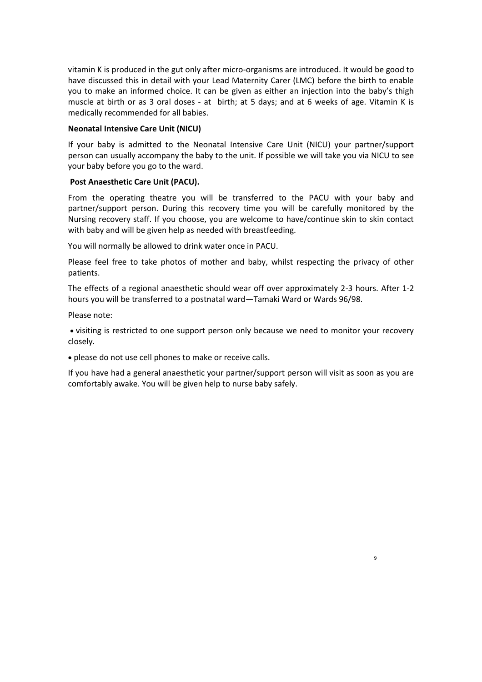vitamin K is produced in the gut only after micro-organisms are introduced. It would be good to have discussed this in detail with your Lead Maternity Carer (LMC) before the birth to enable you to make an informed choice. It can be given as either an injection into the baby's thigh muscle at birth or as 3 oral doses - at birth; at 5 days; and at 6 weeks of age. Vitamin K is medically recommended for all babies.

#### **Neonatal Intensive Care Unit (NICU)**

If your baby is admitted to the Neonatal Intensive Care Unit (NICU) your partner/support person can usually accompany the baby to the unit. If possible we will take you via NICU to see your baby before you go to the ward.

#### **Post Anaesthetic Care Unit (PACU).**

From the operating theatre you will be transferred to the PACU with your baby and partner/support person. During this recovery time you will be carefully monitored by the Nursing recovery staff. If you choose, you are welcome to have/continue skin to skin contact with baby and will be given help as needed with breastfeeding.

You will normally be allowed to drink water once in PACU.

Please feel free to take photos of mother and baby, whilst respecting the privacy of other patients.

The effects of a regional anaesthetic should wear off over approximately 2-3 hours. After 1-2 hours you will be transferred to a postnatal ward—Tamaki Ward or Wards 96/98.

Please note:

 visiting is restricted to one support person only because we need to monitor your recovery closely.

please do not use cell phones to make or receive calls.

If you have had a general anaesthetic your partner/support person will visit as soon as you are comfortably awake. You will be given help to nurse baby safely.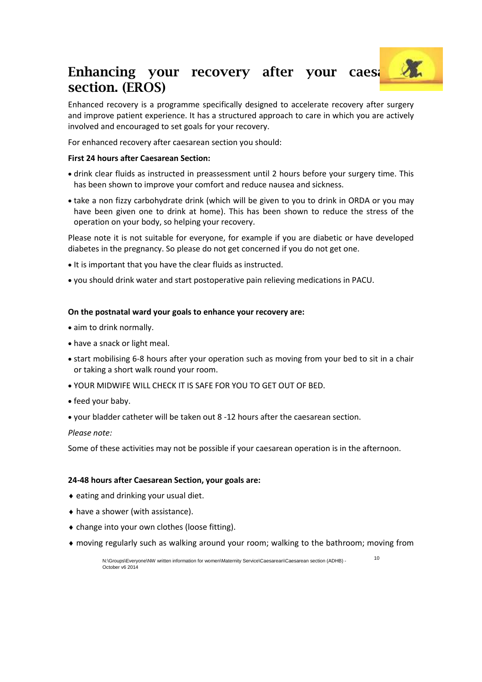## Enhancing your recovery after your caes. **section. (EROS)**

Enhanced recovery is a programme specifically designed to accelerate recovery after surgery and improve patient experience. It has a structured approach to care in which you are actively involved and encouraged to set goals for your recovery.

For enhanced recovery after caesarean section you should:

#### **First 24 hours after Caesarean Section:**

- drink clear fluids as instructed in preassessment until 2 hours before your surgery time. This has been shown to improve your comfort and reduce nausea and sickness.
- take a non fizzy carbohydrate drink (which will be given to you to drink in ORDA or you may have been given one to drink at home). This has been shown to reduce the stress of the operation on your body, so helping your recovery.

Please note it is not suitable for everyone, for example if you are diabetic or have developed diabetes in the pregnancy. So please do not get concerned if you do not get one.

- It is important that you have the clear fluids as instructed.
- you should drink water and start postoperative pain relieving medications in PACU.

#### **On the postnatal ward your goals to enhance your recovery are:**

- aim to drink normally.
- have a snack or light meal.
- start mobilising 6-8 hours after your operation such as moving from your bed to sit in a chair or taking a short walk round your room.
- YOUR MIDWIFE WILL CHECK IT IS SAFE FOR YOU TO GET OUT OF BED.
- feed your baby.
- your bladder catheter will be taken out 8 -12 hours after the caesarean section.

*Please note:* 

Some of these activities may not be possible if your caesarean operation is in the afternoon.

#### **24-48 hours after Caesarean Section, your goals are:**

- $\bullet$  eating and drinking your usual diet.
- have a shower (with assistance).
- change into your own clothes (loose fitting).
- moving regularly such as walking around your room; walking to the bathroom; moving from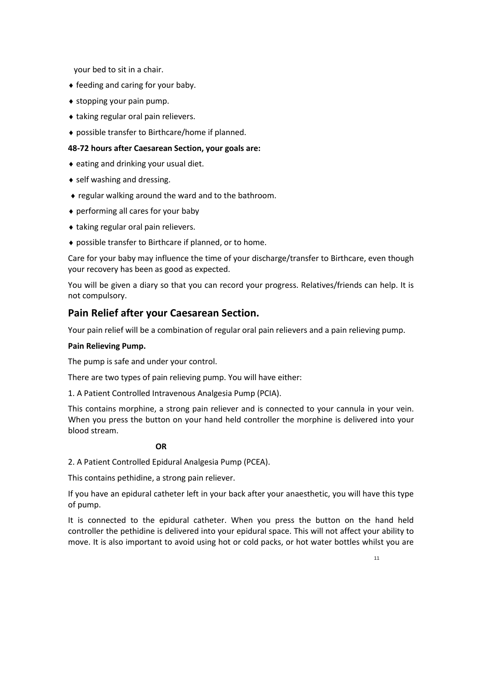your bed to sit in a chair.

- feeding and caring for your baby.
- stopping your pain pump.
- taking regular oral pain relievers.
- possible transfer to Birthcare/home if planned.

#### **48-72 hours after Caesarean Section, your goals are:**

- eating and drinking your usual diet.
- self washing and dressing.
- regular walking around the ward and to the bathroom.
- performing all cares for your baby
- ◆ taking regular oral pain relievers.
- possible transfer to Birthcare if planned, or to home.

Care for your baby may influence the time of your discharge/transfer to Birthcare, even though your recovery has been as good as expected.

You will be given a diary so that you can record your progress. Relatives/friends can help. It is not compulsory.

#### **Pain Relief after your Caesarean Section.**

Your pain relief will be a combination of regular oral pain relievers and a pain relieving pump.

#### **Pain Relieving Pump.**

The pump is safe and under your control.

There are two types of pain relieving pump. You will have either:

1. A Patient Controlled Intravenous Analgesia Pump (PCIA).

This contains morphine, a strong pain reliever and is connected to your cannula in your vein. When you press the button on your hand held controller the morphine is delivered into your blood stream.

#### **OR**

2. A Patient Controlled Epidural Analgesia Pump (PCEA).

This contains pethidine, a strong pain reliever.

If you have an epidural catheter left in your back after your anaesthetic, you will have this type of pump.

It is connected to the epidural catheter. When you press the button on the hand held controller the pethidine is delivered into your epidural space. This will not affect your ability to move. It is also important to avoid using hot or cold packs, or hot water bottles whilst you are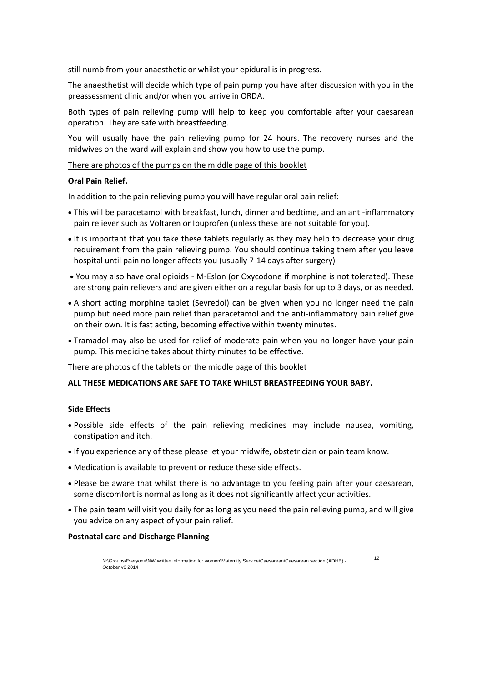still numb from your anaesthetic or whilst your epidural is in progress.

The anaesthetist will decide which type of pain pump you have after discussion with you in the preassessment clinic and/or when you arrive in ORDA.

Both types of pain relieving pump will help to keep you comfortable after your caesarean operation. They are safe with breastfeeding.

You will usually have the pain relieving pump for 24 hours. The recovery nurses and the midwives on the ward will explain and show you how to use the pump.

#### There are photos of the pumps on the middle page of this booklet

#### **Oral Pain Relief.**

In addition to the pain relieving pump you will have regular oral pain relief:

- This will be paracetamol with breakfast, lunch, dinner and bedtime, and an anti-inflammatory pain reliever such as Voltaren or Ibuprofen (unless these are not suitable for you).
- It is important that you take these tablets regularly as they may help to decrease your drug requirement from the pain relieving pump. You should continue taking them after you leave hospital until pain no longer affects you (usually 7-14 days after surgery)
- You may also have oral opioids M-Eslon (or Oxycodone if morphine is not tolerated). These are strong pain relievers and are given either on a regular basis for up to 3 days, or as needed.
- A short acting morphine tablet (Sevredol) can be given when you no longer need the pain pump but need more pain relief than paracetamol and the anti-inflammatory pain relief give on their own. It is fast acting, becoming effective within twenty minutes.
- Tramadol may also be used for relief of moderate pain when you no longer have your pain pump. This medicine takes about thirty minutes to be effective.

#### There are photos of the tablets on the middle page of this booklet

#### **ALL THESE MEDICATIONS ARE SAFE TO TAKE WHILST BREASTFEEDING YOUR BABY.**

#### **Side Effects**

- Possible side effects of the pain relieving medicines may include nausea, vomiting, constipation and itch.
- If you experience any of these please let your midwife, obstetrician or pain team know.
- Medication is available to prevent or reduce these side effects.
- Please be aware that whilst there is no advantage to you feeling pain after your caesarean, some discomfort is normal as long as it does not significantly affect your activities.
- The pain team will visit you daily for as long as you need the pain relieving pump, and will give you advice on any aspect of your pain relief.

#### **Postnatal care and Discharge Planning**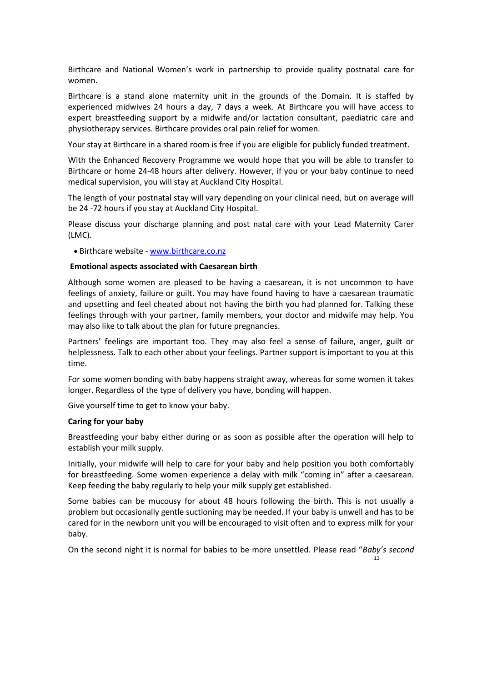Birthcare and National Women's work in partnership to provide quality postnatal care for women.

Birthcare is a stand alone maternity unit in the grounds of the Domain. It is staffed by experienced midwives 24 hours a day, 7 days a week. At Birthcare you will have access to expert breastfeeding support by a midwife and/or lactation consultant, paediatric care and physiotherapy services. Birthcare provides oral pain relief for women.

Your stay at Birthcare in a shared room is free if you are eligible for publicly funded treatment.

With the Enhanced Recovery Programme we would hope that you will be able to transfer to Birthcare or home 24-48 hours after delivery. However, if you or your baby continue to need medical supervision, you will stay at Auckland City Hospital.

The length of your postnatal stay will vary depending on your clinical need, but on average will be 24 -72 hours if you stay at Auckland City Hospital.

Please discuss your discharge planning and post natal care with your Lead Maternity Carer (LMC).

• Birthcare website - [www.birthcare.co.nz](http://www.birthcare.co.nz/)

#### **Emotional aspects associated with Caesarean birth**

Although some women are pleased to be having a caesarean, it is not uncommon to have feelings of anxiety, failure or guilt. You may have found having to have a caesarean traumatic and upsetting and feel cheated about not having the birth you had planned for. Talking these feelings through with your partner, family members, your doctor and midwife may help. You may also like to talk about the plan for future pregnancies.

Partners' feelings are important too. They may also feel a sense of failure, anger, guilt or helplessness. Talk to each other about your feelings. Partner support is important to you at this time.

For some women bonding with baby happens straight away, whereas for some women it takes longer. Regardless of the type of delivery you have, bonding will happen.

Give yourself time to get to know your baby.

#### **Caring for your baby**

Breastfeeding your baby either during or as soon as possible after the operation will help to establish your milk supply.

Initially, your midwife will help to care for your baby and help position you both comfortably for breastfeeding. Some women experience a delay with milk "coming in" after a caesarean. Keep feeding the baby regularly to help your milk supply get established.

Some babies can be mucousy for about 48 hours following the birth. This is not usually a problem but occasionally gentle suctioning may be needed. If your baby is unwell and has to be cared for in the newborn unit you will be encouraged to visit often and to express milk for your baby.

On the second night it is normal for babies to be more unsettled. Please read "*Baby's second*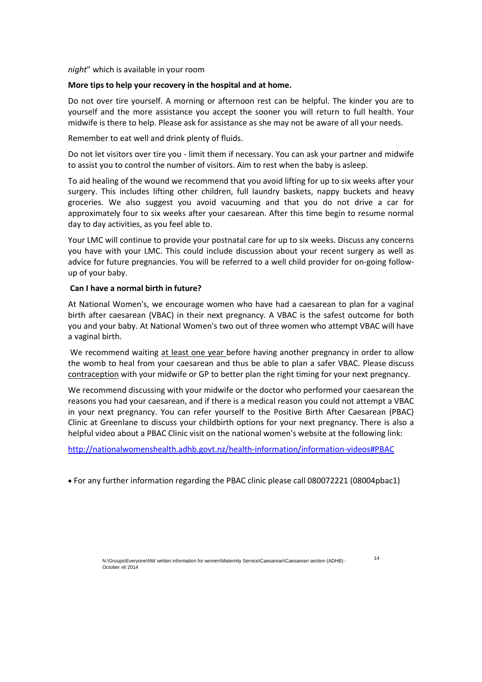*night*" which is available in your room

#### **More tips to help your recovery in the hospital and at home.**

Do not over tire yourself. A morning or afternoon rest can be helpful. The kinder you are to yourself and the more assistance you accept the sooner you will return to full health. Your midwife is there to help. Please ask for assistance as she may not be aware of all your needs.

Remember to eat well and drink plenty of fluids.

Do not let visitors over tire you - limit them if necessary. You can ask your partner and midwife to assist you to control the number of visitors. Aim to rest when the baby is asleep.

To aid healing of the wound we recommend that you avoid lifting for up to six weeks after your surgery. This includes lifting other children, full laundry baskets, nappy buckets and heavy groceries. We also suggest you avoid vacuuming and that you do not drive a car for approximately four to six weeks after your caesarean. After this time begin to resume normal day to day activities, as you feel able to.

Your LMC will continue to provide your postnatal care for up to six weeks. Discuss any concerns you have with your LMC. This could include discussion about your recent surgery as well as advice for future pregnancies. You will be referred to a well child provider for on-going followup of your baby.

#### **Can I have a normal birth in future?**

At National Women's, we encourage women who have had a caesarean to plan for a vaginal birth after caesarean (VBAC) in their next pregnancy. A VBAC is the safest outcome for both you and your baby. At National Women's two out of three women who attempt VBAC will have a vaginal birth.

We recommend waiting at least one year before having another pregnancy in order to allow the womb to heal from your caesarean and thus be able to plan a safer VBAC. Please discuss contraception with your midwife or GP to better plan the right timing for your next pregnancy.

We recommend discussing with your midwife or the doctor who performed your caesarean the reasons you had your caesarean, and if there is a medical reason you could not attempt a VBAC in your next pregnancy. You can refer yourself to the Positive Birth After Caesarean (PBAC) Clinic at Greenlane to discuss your childbirth options for your next pregnancy. There is also a helpful video about a PBAC Clinic visit on the national women's website at the following link:

<http://nationalwomenshealth.adhb.govt.nz/health-information/information-videos#PBAC>

For any further information regarding the PBAC clinic please call 080072221 (08004pbac1)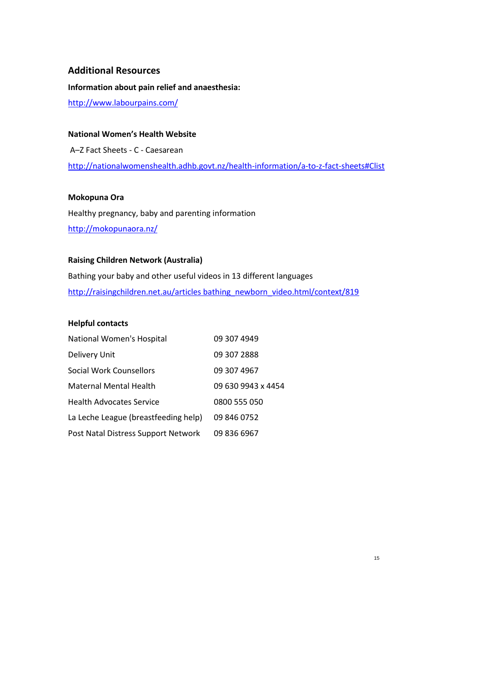#### **Additional Resources**

**Information about pain relief and anaesthesia:**

[http://www.labourpains.com/](http://www.labourpains.com/UI/Content/Content.aspx?ID=5)

**National Women's Health Website** 

A–Z Fact Sheets - C - Caesarean <http://nationalwomenshealth.adhb.govt.nz/health-information/a-to-z-fact-sheets#Clist>

#### **Mokopuna Ora**

Healthy pregnancy, baby and parenting information <http://mokopunaora.nz/>

#### **Raising Children Network (Australia)**

Bathing your baby and other useful videos in 13 different languages [http://raisingchildren.net.au/articles bathing\\_newborn\\_video.html/context/819](http://raisingchildren.net.au/articles/bathing_newborn_video.html/context/819)

#### **Helpful contacts**

| National Women's Hospital            | 09 307 4949        |
|--------------------------------------|--------------------|
| Delivery Unit                        | 09 307 2888        |
| Social Work Counsellors              | 09 307 4967        |
| Maternal Mental Health               | 09 630 9943 x 4454 |
| <b>Health Advocates Service</b>      | 0800 555 050       |
| La Leche League (breastfeeding help) | 09 846 0752        |
| Post Natal Distress Support Network  | 09 836 6967        |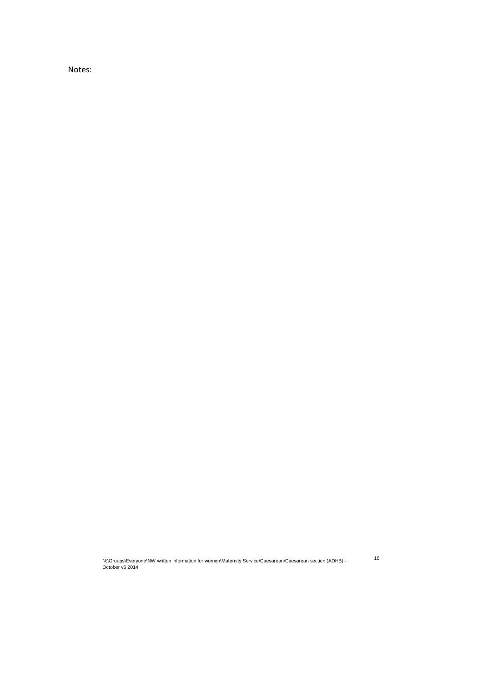Notes:

N:\Groups\Everyone\NW written information for women\Maternity Service\Caesarean\Caesarean section (ADHB) - 16<br>October v6 2014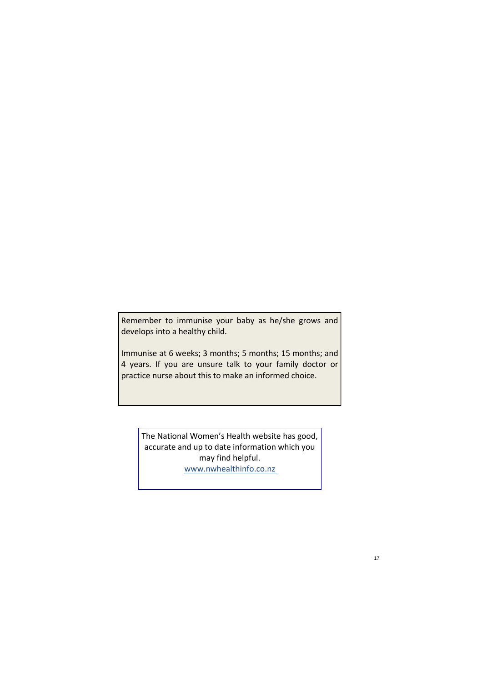Remember to immunise your baby as he/she grows and develops into a healthy child.

Immunise at 6 weeks; 3 months; 5 months; 15 months; and 4 years. If you are unsure talk to your family doctor or practice nurse about this to make an informed choice.

The National Women's Health website has good, accurate and up to date information which you may find helpful. www.nwhealthinfo.co.nz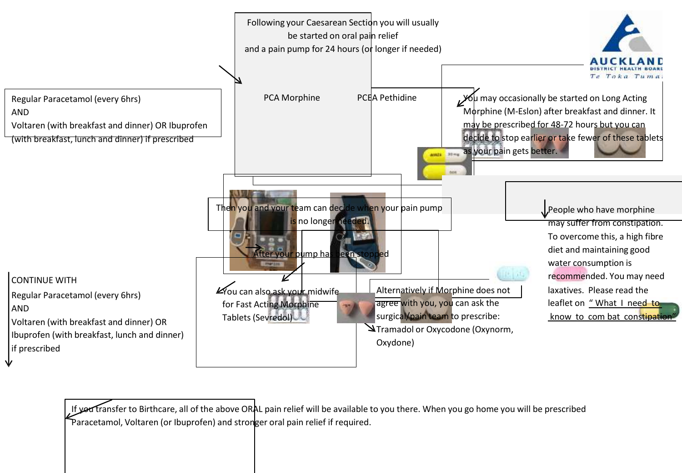

If yed transfer to Birthcare, all of the above ORAL pain relief will be available to you there. When you go home you will be prescribed Paracetamol, Voltaren (or Ibuprofen) and stronger oral pain relief if required.